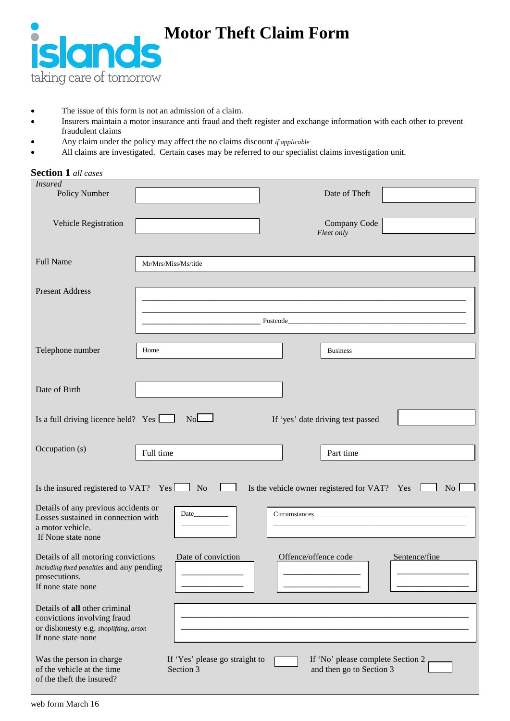

**Motor Theft Claim Form**

- The issue of this form is not an admission of a claim.
- Insurers maintain a motor insurance anti fraud and theft register and exchange information with each other to prevent fraudulent claims
- Any claim under the policy may affect the no claims discount *if applicable*
- All claims are investigated. Certain cases may be referred to our specialist claims investigation unit.

| <b>Section 1</b> all cases                                                                                                  |                                             |                      |                                                                                                                                                                                                                                     |               |
|-----------------------------------------------------------------------------------------------------------------------------|---------------------------------------------|----------------------|-------------------------------------------------------------------------------------------------------------------------------------------------------------------------------------------------------------------------------------|---------------|
| <b>Insured</b><br>Policy Number                                                                                             |                                             |                      | Date of Theft                                                                                                                                                                                                                       |               |
| Vehicle Registration                                                                                                        |                                             |                      | Company Code<br>Fleet only                                                                                                                                                                                                          |               |
| <b>Full Name</b>                                                                                                            | Mr/Mrs/Miss/Ms/title                        |                      |                                                                                                                                                                                                                                     |               |
| <b>Present Address</b>                                                                                                      |                                             |                      |                                                                                                                                                                                                                                     |               |
|                                                                                                                             |                                             |                      | Postcode <b>Exercía de Serviço de Serviço de Serviço</b> de Serviço de Serviço de Serviço de Serviço de Serviço de Serviço de Serviço de Serviço de Serviço de Serviço de Serviço de Serviço de Serviço de Serviço de Serviço de Se |               |
| Telephone number                                                                                                            | Home                                        |                      | <b>Business</b>                                                                                                                                                                                                                     |               |
| Date of Birth                                                                                                               |                                             |                      |                                                                                                                                                                                                                                     |               |
| Is a full driving licence held? Yes $\Box$                                                                                  | No                                          |                      | If 'yes' date driving test passed                                                                                                                                                                                                   |               |
| Occupation (s)                                                                                                              | Full time                                   |                      | Part time                                                                                                                                                                                                                           |               |
| Is the insured registered to VAT? $Yes \Box$ No<br>Is the vehicle owner registered for VAT? Yes<br>$\overline{N_{O}}$       |                                             |                      |                                                                                                                                                                                                                                     |               |
| Details of any previous accidents or<br>Losses sustained in connection with<br>a motor vehicle.<br>If None state none       |                                             |                      |                                                                                                                                                                                                                                     |               |
| Details of all motoring convictions<br>Including fixed penalties and any pending<br>prosecutions.<br>If none state none     | Date of conviction                          | Offence/offence code |                                                                                                                                                                                                                                     | Sentence/fine |
| Details of all other criminal<br>convictions involving fraud<br>or dishonesty e.g. shoplifting, arson<br>If none state none |                                             |                      |                                                                                                                                                                                                                                     |               |
| Was the person in charge<br>of the vehicle at the time<br>of the theft the insured?                                         | If 'Yes' please go straight to<br>Section 3 |                      | If 'No' please complete Section 2<br>and then go to Section 3                                                                                                                                                                       |               |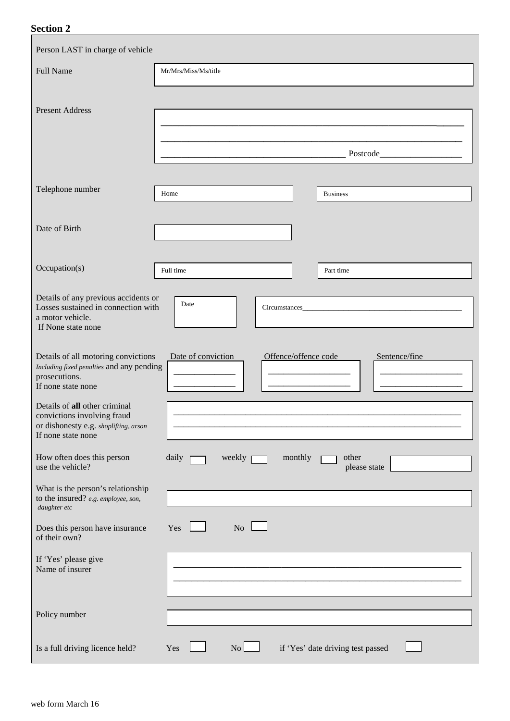## **Section 2**

| Person LAST in charge of vehicle                                                 |                                                             |
|----------------------------------------------------------------------------------|-------------------------------------------------------------|
| <b>Full Name</b>                                                                 | Mr/Mrs/Miss/Ms/title                                        |
|                                                                                  |                                                             |
| <b>Present Address</b>                                                           |                                                             |
|                                                                                  |                                                             |
|                                                                                  | Postcode Postcode                                           |
|                                                                                  |                                                             |
| Telephone number                                                                 | Home<br><b>Business</b>                                     |
| Date of Birth                                                                    |                                                             |
|                                                                                  |                                                             |
| Occupation(s)                                                                    | Full time<br>Part time                                      |
| Details of any previous accidents or                                             |                                                             |
| Losses sustained in connection with<br>a motor vehicle.                          | Date<br>Circumstances_                                      |
| If None state none                                                               |                                                             |
| Details of all motoring convictions                                              | Date of conviction<br>Offence/offence code<br>Sentence/fine |
| Including fixed penalties and any pending<br>prosecutions.<br>If none state none |                                                             |
| Details of all other criminal                                                    |                                                             |
| convictions involving fraud<br>or dishonesty e.g. shoplifting, arson             |                                                             |
| If none state none                                                               |                                                             |
| How often does this person<br>use the vehicle?                                   | daily<br>weekly<br>monthly<br>other<br>please state         |
| What is the person's relationship                                                |                                                             |
| to the insured? e.g. employee, son,<br>daughter etc                              |                                                             |
| Does this person have insurance<br>of their own?                                 | No<br>Yes                                                   |
| If 'Yes' please give<br>Name of insurer                                          |                                                             |
|                                                                                  |                                                             |
|                                                                                  |                                                             |
| Policy number                                                                    |                                                             |
| Is a full driving licence held?                                                  | if 'Yes' date driving test passed<br>No.<br>Yes             |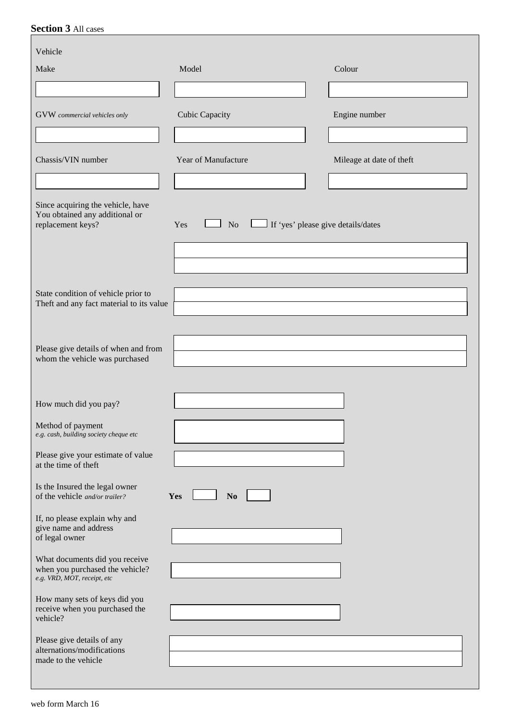# **Section 3** All cases

| Vehicle                                                                                          |                                                             |                          |
|--------------------------------------------------------------------------------------------------|-------------------------------------------------------------|--------------------------|
| Make                                                                                             | Model                                                       | Colour                   |
|                                                                                                  |                                                             |                          |
| GVW commercial vehicles only                                                                     | Cubic Capacity                                              | Engine number            |
|                                                                                                  |                                                             |                          |
| Chassis/VIN number                                                                               | Year of Manufacture                                         | Mileage at date of theft |
|                                                                                                  |                                                             |                          |
| Since acquiring the vehicle, have<br>You obtained any additional or<br>replacement keys?         | If 'yes' please give details/dates<br>Yes<br>N <sub>o</sub> |                          |
|                                                                                                  |                                                             |                          |
|                                                                                                  |                                                             |                          |
| State condition of vehicle prior to                                                              |                                                             |                          |
| Theft and any fact material to its value                                                         |                                                             |                          |
|                                                                                                  |                                                             |                          |
| Please give details of when and from<br>whom the vehicle was purchased                           |                                                             |                          |
|                                                                                                  |                                                             |                          |
|                                                                                                  |                                                             |                          |
| How much did you pay?                                                                            |                                                             |                          |
| Method of payment<br>e.g. cash, building society cheque etc                                      |                                                             |                          |
| Please give your estimate of value<br>at the time of theft                                       |                                                             |                          |
| Is the Insured the legal owner<br>of the vehicle and/or trailer?                                 | No<br>Yes                                                   |                          |
| If, no please explain why and<br>give name and address                                           |                                                             |                          |
| of legal owner                                                                                   |                                                             |                          |
| What documents did you receive<br>when you purchased the vehicle?<br>e.g. VRD, MOT, receipt, etc |                                                             |                          |
| How many sets of keys did you<br>receive when you purchased the<br>vehicle?                      |                                                             |                          |
| Please give details of any<br>alternations/modifications<br>made to the vehicle                  |                                                             |                          |
|                                                                                                  |                                                             |                          |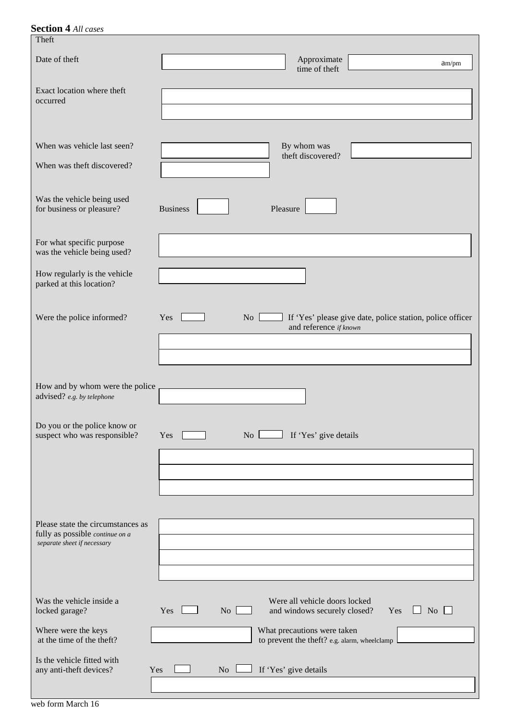| <b>Section 4 All cases</b>                                           |                                                                                                                  |
|----------------------------------------------------------------------|------------------------------------------------------------------------------------------------------------------|
| Theft                                                                |                                                                                                                  |
| Date of theft                                                        | Approximate<br>am/pm<br>time of theft                                                                            |
| Exact location where theft<br>occurred                               |                                                                                                                  |
| When was vehicle last seen?<br>When was theft discovered?            | By whom was<br>theft discovered?                                                                                 |
| Was the vehicle being used<br>for business or pleasure?              | <b>Business</b><br>Pleasure                                                                                      |
| For what specific purpose<br>was the vehicle being used?             |                                                                                                                  |
| How regularly is the vehicle<br>parked at this location?             |                                                                                                                  |
| Were the police informed?                                            | If 'Yes' please give date, police station, police officer<br>Yes<br>$\overline{N_{O}}$<br>and reference if known |
|                                                                      |                                                                                                                  |
| How and by whom were the police<br>advised? e.g. by telephone        |                                                                                                                  |
| Do you or the police know or<br>suspect who was responsible?         | If 'Yes' give details<br>$\overline{N}$ L<br>Yes                                                                 |
|                                                                      |                                                                                                                  |
|                                                                      |                                                                                                                  |
|                                                                      |                                                                                                                  |
| Please state the circumstances as<br>fully as possible continue on a |                                                                                                                  |
| separate sheet if necessary                                          |                                                                                                                  |
|                                                                      |                                                                                                                  |
| Was the vehicle inside a<br>locked garage?                           | Were all vehicle doors locked<br>Yes $\Box$ No $\Box$<br>Yes<br>N <sub>o</sub><br>and windows securely closed?   |
| Where were the keys<br>at the time of the theft?                     | What precautions were taken<br>to prevent the theft? e.g. alarm, wheelclamp                                      |
| Is the vehicle fitted with<br>any anti-theft devices?<br>Yes         | If 'Yes' give details<br>N <sub>o</sub>                                                                          |
|                                                                      |                                                                                                                  |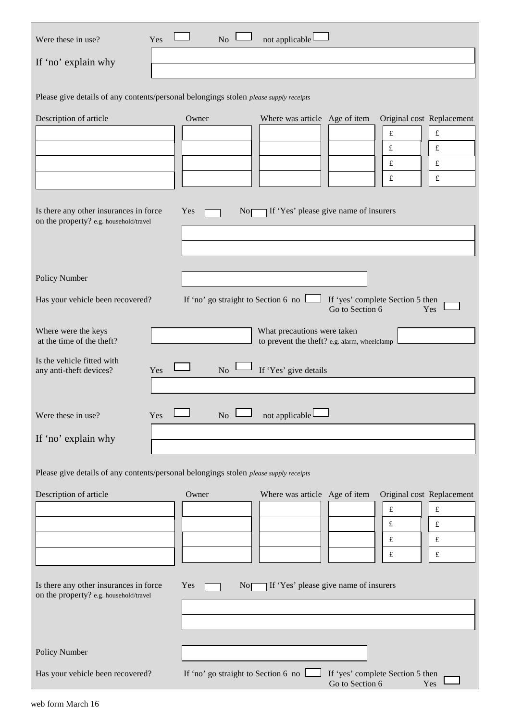| Were these in use?<br>Yes                                                               | not applicable<br>No                                                                                                                                        |  |  |
|-----------------------------------------------------------------------------------------|-------------------------------------------------------------------------------------------------------------------------------------------------------------|--|--|
| If 'no' explain why                                                                     |                                                                                                                                                             |  |  |
| Please give details of any contents/personal belongings stolen please supply receipts   |                                                                                                                                                             |  |  |
| Description of article                                                                  | Owner<br>Where was article Age of item<br>Original cost Replacement<br>£<br>£<br>f<br>£<br>$\pounds$<br>£<br>$\pounds$<br>$\pounds$                         |  |  |
| Is there any other insurances in force<br>Yes<br>on the property? e.g. household/travel | If 'Yes' please give name of insurers<br>Nor                                                                                                                |  |  |
| Policy Number                                                                           |                                                                                                                                                             |  |  |
| Has your vehicle been recovered?                                                        | If 'yes' complete Section 5 then<br>If 'no' go straight to Section 6 no $\Box$<br>Go to Section 6<br>Yes                                                    |  |  |
| Where were the keys<br>at the time of the theft?                                        | What precautions were taken<br>to prevent the theft? e.g. alarm, wheelclamp                                                                                 |  |  |
| Is the vehicle fitted with<br>any anti-theft devices?<br>Yes                            | If 'Yes' give details<br>N <sub>o</sub>                                                                                                                     |  |  |
| Were these in use?<br>Yes                                                               | not applicable<br>$\rm No$                                                                                                                                  |  |  |
| If 'no' explain why                                                                     |                                                                                                                                                             |  |  |
| Please give details of any contents/personal belongings stolen please supply receipts   |                                                                                                                                                             |  |  |
| Description of article                                                                  | Owner<br>Where was article Age of item<br>Original cost Replacement<br>$\pounds$<br>$\pounds$<br>£<br>$\pounds$<br>$\pounds$<br>£<br>$\pounds$<br>$\pounds$ |  |  |
| Is there any other insurances in force<br>Yes<br>on the property? e.g. household/travel | If 'Yes' please give name of insurers<br>No                                                                                                                 |  |  |
| Policy Number                                                                           |                                                                                                                                                             |  |  |
| Has your vehicle been recovered?                                                        | If 'no' go straight to Section 6 no<br>If 'yes' complete Section 5 then<br>Go to Section 6<br>Yes                                                           |  |  |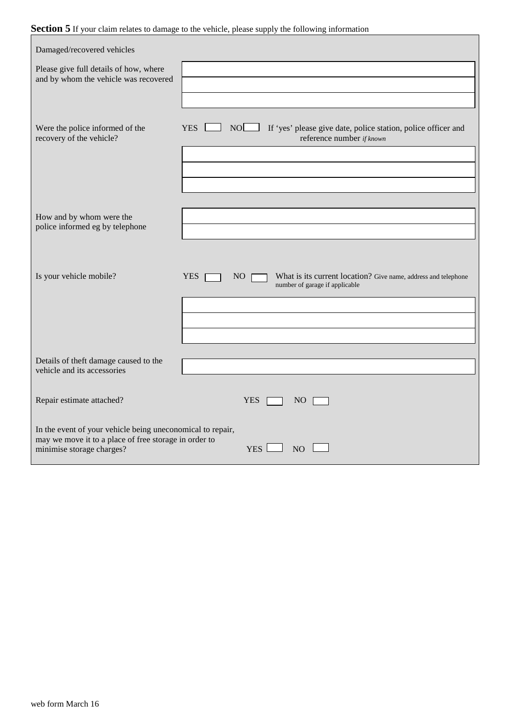## Section 5 If your claim relates to damage to the vehicle, please supply the following information

| Damaged/recovered vehicles                                                                                                                                                       |                                                                                                                                   |  |
|----------------------------------------------------------------------------------------------------------------------------------------------------------------------------------|-----------------------------------------------------------------------------------------------------------------------------------|--|
| Please give full details of how, where<br>and by whom the vehicle was recovered                                                                                                  |                                                                                                                                   |  |
|                                                                                                                                                                                  |                                                                                                                                   |  |
| Were the police informed of the<br>recovery of the vehicle?                                                                                                                      | <b>NOL</b><br>If 'yes' please give date, police station, police officer and<br><b>YES</b><br>reference number if known            |  |
|                                                                                                                                                                                  |                                                                                                                                   |  |
|                                                                                                                                                                                  |                                                                                                                                   |  |
| How and by whom were the                                                                                                                                                         |                                                                                                                                   |  |
| police informed eg by telephone                                                                                                                                                  |                                                                                                                                   |  |
|                                                                                                                                                                                  |                                                                                                                                   |  |
| Is your vehicle mobile?                                                                                                                                                          | What is its current location? Give name, address and telephone<br><b>YES</b><br>NO <sub>1</sub><br>number of garage if applicable |  |
|                                                                                                                                                                                  |                                                                                                                                   |  |
|                                                                                                                                                                                  |                                                                                                                                   |  |
| Details of theft damage caused to the<br>vehicle and its accessories                                                                                                             |                                                                                                                                   |  |
| Repair estimate attached?                                                                                                                                                        | <b>YES</b><br>NO <sub>1</sub>                                                                                                     |  |
| In the event of your vehicle being uneconomical to repair,<br>may we move it to a place of free storage in order to<br>minimise storage charges?<br><b>YES</b><br>N <sub>O</sub> |                                                                                                                                   |  |